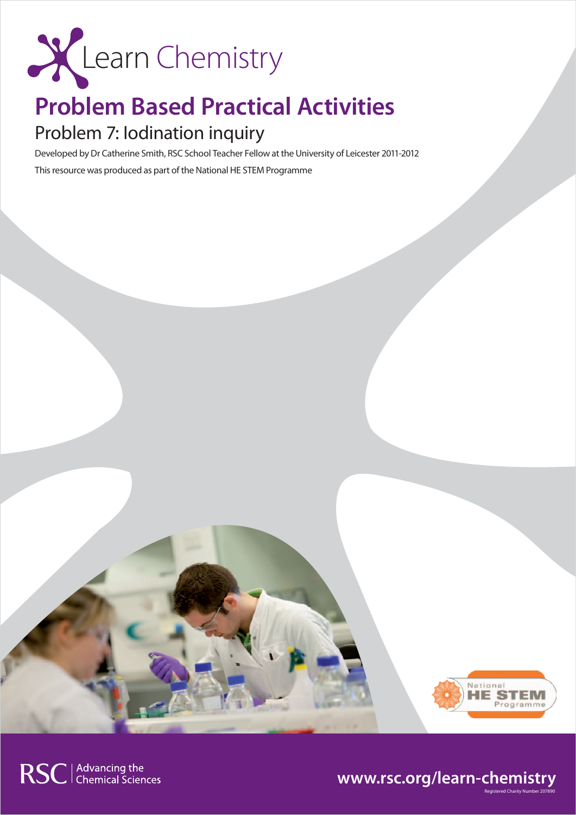

## **Problem Based Practical Activities**

## Problem 7: Iodination inquiry

Developed by Dr Catherine Smith, RSC School Teacher Fellow at the University of Leicester 2011-2012 This resource was produced as part of the National HE STEM Programme



Registered Charity Number 207890

### **www.rsc.org/learn-chemistry**

RSC | Advancing the<br>
Chemical Sciences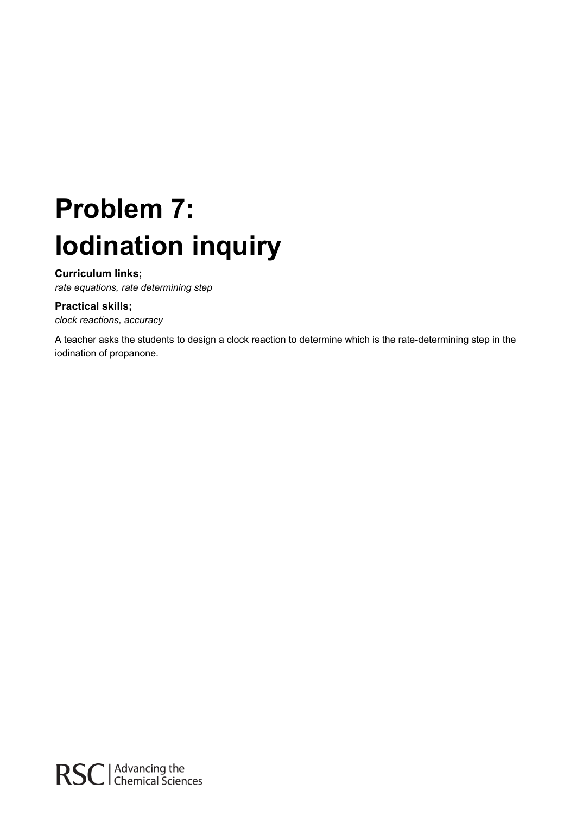# **Problem 7: Iodination inquiry**

#### **Curriculum links;**

*rate equations, rate determining step* 

#### **Practical skills;**

*clock reactions, accuracy* 

A teacher asks the students to design a clock reaction to determine which is the rate-determining step in the iodination of propanone.

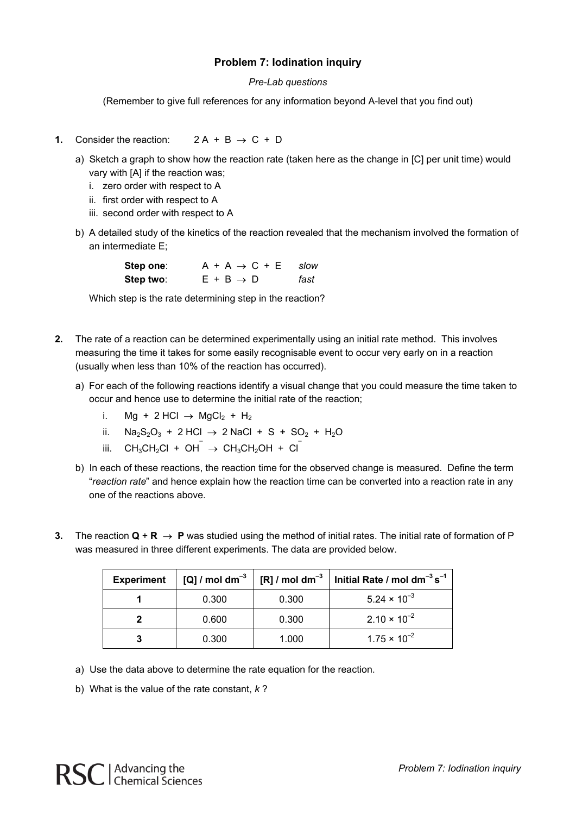#### **Problem 7: Iodination inquiry**

#### *Pre-Lab questions*

(Remember to give full references for any information beyond A-level that you find out)

- **1.** Consider the reaction:  $2A + B \rightarrow C + D$ 
	- a) Sketch a graph to show how the reaction rate (taken here as the change in [C] per unit time) would vary with [A] if the reaction was;
		- i. zero order with respect to A
		- ii. first order with respect to A
		- iii. second order with respect to A
	- b) A detailed study of the kinetics of the reaction revealed that the mechanism involved the formation of an intermediate E;

| Step one: | $A + A \rightarrow C + E$ slow |      |
|-----------|--------------------------------|------|
| Step two: | $E + B \rightarrow D$          | fast |

Which step is the rate determining step in the reaction?

- **2.** The rate of a reaction can be determined experimentally using an initial rate method. This involves measuring the time it takes for some easily recognisable event to occur very early on in a reaction (usually when less than 10% of the reaction has occurred).
	- a) For each of the following reactions identify a visual change that you could measure the time taken to occur and hence use to determine the initial rate of the reaction;
		- i. Mg + 2 HCl  $\rightarrow$  MgCl<sub>2</sub> + H<sub>2</sub>
		- ii. Na<sub>2</sub>S<sub>2</sub>O<sub>3</sub> + 2 HCl  $\rightarrow$  2 NaCl + S + SO<sub>2</sub> + H<sub>2</sub>O
- iii.  $CH_3CH_2Cl + OH^- \rightarrow CH_3CH_2OH + Cl^$ 
	- b) In each of these reactions, the reaction time for the observed change is measured. Define the term "*reaction rate*" and hence explain how the reaction time can be converted into a reaction rate in any one of the reactions above.
- **3.** The reaction  $Q + R \rightarrow P$  was studied using the method of initial rates. The initial rate of formation of P was measured in three different experiments. The data are provided below.

| <b>Experiment</b> | [Q] / mol dm $^{-3}$ | [R] $/$ mol dm <sup>-3</sup> | Initial Rate / mol $dm^{-3} s^{-1}$ |
|-------------------|----------------------|------------------------------|-------------------------------------|
|                   | 0.300                | 0.300                        | $5.24 \times 10^{-3}$               |
|                   | 0.600                | 0.300                        | $2.10 \times 10^{-2}$               |
|                   | 0.300                | 1.000                        | $1.75 \times 10^{-2}$               |

- a) Use the data above to determine the rate equation for the reaction.
- b) What is the value of the rate constant, *k* ?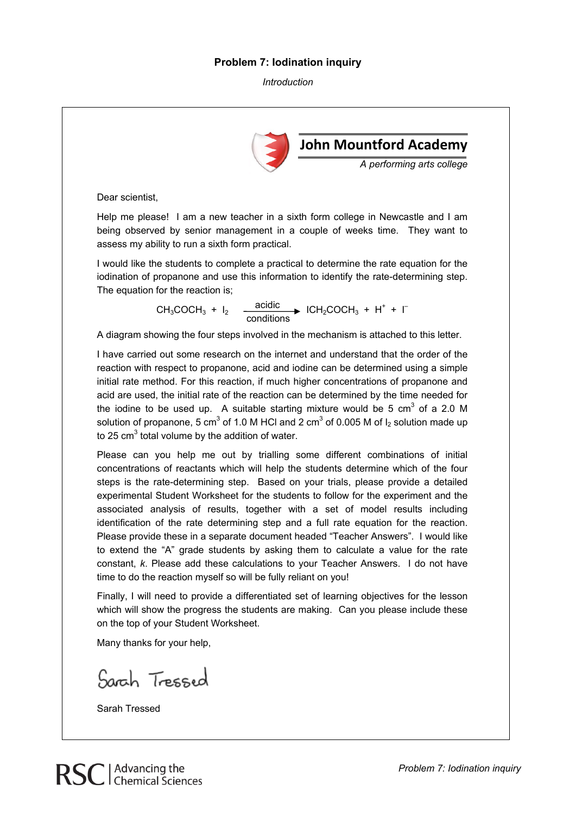#### **Problem 7: Iodination inquiry**

*Introduction* 



Finally, I will need to provide a differentiated set of learning objectives for the lesson which will show the progress the students are making. Can you please include these on the top of your Student Worksheet.

Many thanks for your help,

Sarah Tressed



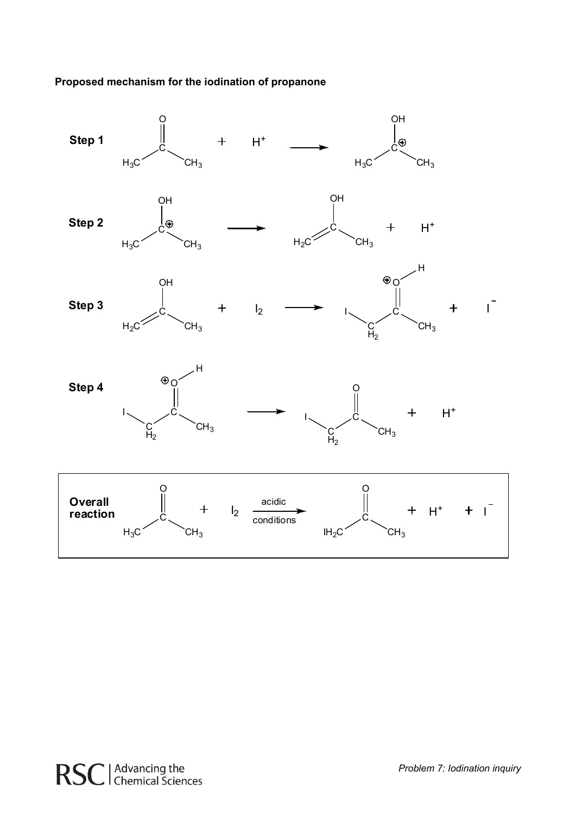**Proposed mechanism for the iodination of propanone** 

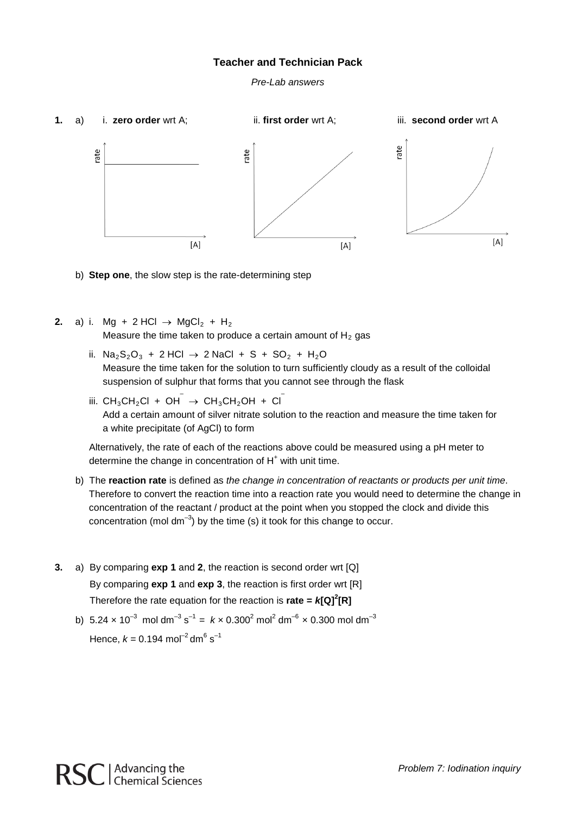#### **Teacher and Technician Pack**

*Pre-Lab answers*



b) **Step one**, the slow step is the rate-determining step

**2.** a) i. Mg + 2 HCl  $\rightarrow$  MgCl<sub>2</sub> + H<sub>2</sub>

Measure the time taken to produce a certain amount of  $H_2$  gas

- ii. Na<sub>2</sub>S<sub>2</sub>O<sub>3</sub> + 2 HCl → 2 NaCl + S + SO<sub>2</sub> + H<sub>2</sub>O Measure the time taken for the solution to turn sufficiently cloudy as a result of the colloidal suspension of sulphur that forms that you cannot see through the flask
- iii.  $CH_3CH_2Cl + OH^- \rightarrow CH_3CH_2OH + Cl^-$ Add a certain amount of silver nitrate solution to the reaction and measure the time taken for a white precipitate (of AgCl) to form

Alternatively, the rate of each of the reactions above could be measured using a pH meter to determine the change in concentration of  $H<sup>+</sup>$  with unit time.

- b) The **reaction rate** is defined as *the change in concentration of reactants or products per unit time*. Therefore to convert the reaction time into a reaction rate you would need to determine the change in concentration of the reactant / product at the point when you stopped the clock and divide this concentration (mol dm<sup>-3</sup>) by the time (s) it took for this change to occur.
- **3.** a) By comparing **exp 1** and **2**, the reaction is second order wrt [Q] By comparing **exp 1** and **exp 3**, the reaction is first order wrt [R] Therefore the rate equation for the reaction is **rate =** *k***[Q]<sup>2</sup> [R]**
	- b) 5.24  $\times$  10<sup>-3</sup> mol dm<sup>-3</sup> s<sup>-1</sup> =  $k \times$  0.300<sup>2</sup> mol<sup>2</sup> dm<sup>-6</sup>  $\times$  0.300 mol dm<sup>-3</sup> Hence,  $k = 0.194$  mol<sup>-2</sup> dm<sup>6</sup> s<sup>-1</sup>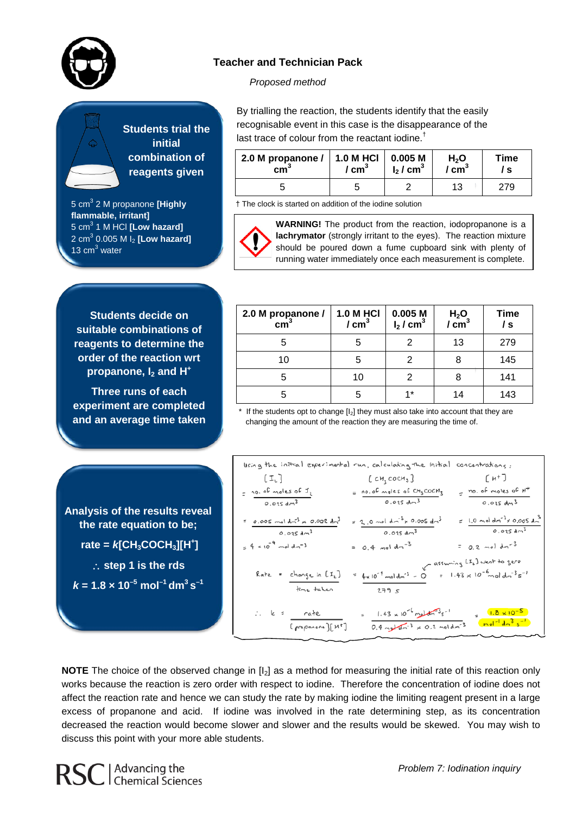

#### **Teacher and Technician Pack**

#### *Proposed method*



5 cm3 2 M propanone **[Highly flammable, irritant]** 5 cm3 1 M HCl **[Low hazard]** 2 cm3 0.005 M I2 **[Low hazard]** 13  $cm<sup>3</sup>$  water

By trialling the reaction, the students identify that the easily recognisable event in this case is the disappearance of the last trace of colour from the reactant iodine.<sup>†</sup>

| 2.0 M propanone $/$   1.0 M HCl | $\sqrt{cm}^3$ | 0.005 M                 | H <sub>2</sub> O    | Time |
|---------------------------------|---------------|-------------------------|---------------------|------|
| cm <sub>1</sub>                 |               | $I_2$ / cm <sup>3</sup> | $^{\prime}$ cm $^3$ | `S   |
|                                 |               |                         | 13                  |      |

† The clock is started on addition of the iodine solution



**WARNING!** The product from the reaction, iodopropanone is a **lachrymator** (strongly irritant to the eyes). The reaction mixture should be poured down a fume cupboard sink with plenty of running water immediately once each measurement is complete.

**Students decide on suitable combinations of reagents to determine the order of the reaction wrt propanone, I<sub>2</sub> and H<sup>+</sup>** 

**Three runs of each experiment are completed and an average time taken**

**Analysis of the results reveal the rate equation to be; rate =** *k***[CH3COCH3][H+ ]** ∴ **step 1 is the rds**

 $k = 1.8 \times 10^{-5}$  mol<sup>-1</sup> dm<sup>3</sup> s<sup>-1</sup>

| 2.0 M propanone /<br>$\text{cm}^3$ | <b>1.0 M HCI</b><br>/ cm <sup>3</sup> | 0.005M<br>$I_2$ / cm <sup>3</sup> | $H2O$<br>/ cm <sup>3</sup> | <b>Time</b><br>/ s |
|------------------------------------|---------------------------------------|-----------------------------------|----------------------------|--------------------|
|                                    | 5                                     |                                   | 13                         | 279                |
| 10                                 | 5                                     | 2                                 |                            | 145                |
|                                    | 10                                    |                                   |                            | 141                |
|                                    | 5                                     | $4*$                              | 14                         | 143                |

 $*$  If the students opt to change  $[I_2]$  they must also take into account that they are changing the amount of the reaction they are measuring the time of.

| lising the initial experimental run, calculating the Initial                  |                                                                                                                 | cancentrations:                                                              |
|-------------------------------------------------------------------------------|-----------------------------------------------------------------------------------------------------------------|------------------------------------------------------------------------------|
| $\begin{bmatrix} \mathcal{I}_k \end{bmatrix}$                                 | [ сн $_{3}$ сосн $_{3}$ ]                                                                                       | $[$ $H^+$ ]                                                                  |
| $=$ 10.00 moles of $I_1$<br>$0.025\,dm^3$                                     | $= \frac{no.oE \text{ males of } Cu_3 CoCH_3}{o.o25 \text{ dm}^3}$                                              | $=$ no. of motes of $H^+$<br>0.025 dm <sup>3</sup>                           |
| $= 0.005 \text{ mol } d-3 \times 0.002 \text{ dm}^3$<br>0.025 dm <sup>3</sup> | $= 2.0$ mol dn <sup>3</sup> x 0.005 dn <sup>3</sup><br>$0.025 \text{ dm}^3$                                     | $= 1.0$ not dr <sup>3</sup> x 0.005 dn <sup>3</sup><br>0.025 dm <sup>3</sup> |
| $= 4 \times 10^{-4}$ mal dm <sup>-3</sup>                                     | $= 0.4$ moldm <sup>-3</sup>                                                                                     | = $0.2$ mol dm <sup>-3</sup>                                                 |
| Rate = change in [I2]<br>time taken                                           | $= 4 \times 10^{-4}$ mal dm <sup>-3</sup> - O<br>279S                                                           | $V = 1.43 \times 10^{-6} \text{ mol } \text{cm}^{-3} \text{s}^{-1}$          |
| $\therefore$ k = $\frac{\text{rate}}{\text{rate}}$<br>[ propanone][ M*]       | $= 1.43 \times 10^{-6}$ metal s <sup>-1</sup><br>$0.4 \text{ m} \frac{1}{2} \times 0.2 \text{ mol} \text{dm}^3$ | $= 1.8 \times 10^{-5}$<br>$mol^{-1}$ $dn^3$ $s^{-1}$                         |

**NOTE** The choice of the observed change in [I2] as a method for measuring the initial rate of this reaction only works because the reaction is zero order with respect to iodine. Therefore the concentration of iodine does not affect the reaction rate and hence we can study the rate by making iodine the limiting reagent present in a large excess of propanone and acid. If iodine was involved in the rate determining step, as its concentration decreased the reaction would become slower and slower and the results would be skewed. You may wish to discuss this point with your more able students.